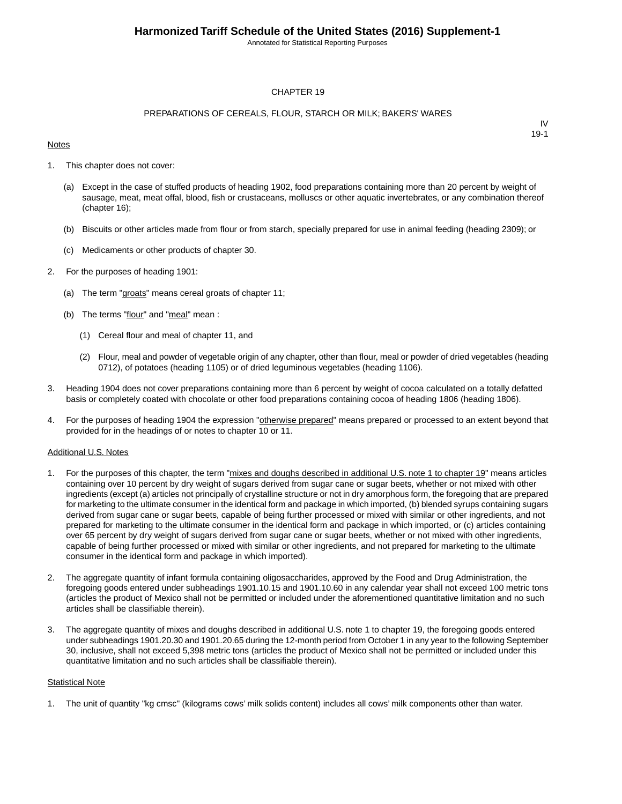Annotated for Statistical Reporting Purposes

#### CHAPTER 19

#### PREPARATIONS OF CEREALS, FLOUR, STARCH OR MILK; BAKERS' WARES

#### **Notes**

IV 19-1

- 1. This chapter does not cover:
	- (a) Except in the case of stuffed products of heading 1902, food preparations containing more than 20 percent by weight of sausage, meat, meat offal, blood, fish or crustaceans, molluscs or other aquatic invertebrates, or any combination thereof (chapter 16);
	- (b) Biscuits or other articles made from flour or from starch, specially prepared for use in animal feeding (heading 2309); or
	- (c) Medicaments or other products of chapter 30.
- 2. For the purposes of heading 1901:
	- (a) The term "groats" means cereal groats of chapter 11;
	- (b) The terms "flour" and "meal" mean :
		- (1) Cereal flour and meal of chapter 11, and
		- (2) Flour, meal and powder of vegetable origin of any chapter, other than flour, meal or powder of dried vegetables (heading 0712), of potatoes (heading 1105) or of dried leguminous vegetables (heading 1106).
- 3. Heading 1904 does not cover preparations containing more than 6 percent by weight of cocoa calculated on a totally defatted basis or completely coated with chocolate or other food preparations containing cocoa of heading 1806 (heading 1806).
- 4. For the purposes of heading 1904 the expression "otherwise prepared" means prepared or processed to an extent beyond that provided for in the headings of or notes to chapter 10 or 11.

#### Additional U.S. Notes

- 1. For the purposes of this chapter, the term "mixes and doughs described in additional U.S. note 1 to chapter 19" means articles containing over 10 percent by dry weight of sugars derived from sugar cane or sugar beets, whether or not mixed with other ingredients (except (a) articles not principally of crystalline structure or not in dry amorphous form, the foregoing that are prepared for marketing to the ultimate consumer in the identical form and package in which imported, (b) blended syrups containing sugars derived from sugar cane or sugar beets, capable of being further processed or mixed with similar or other ingredients, and not prepared for marketing to the ultimate consumer in the identical form and package in which imported, or (c) articles containing over 65 percent by dry weight of sugars derived from sugar cane or sugar beets, whether or not mixed with other ingredients, capable of being further processed or mixed with similar or other ingredients, and not prepared for marketing to the ultimate consumer in the identical form and package in which imported).
- 2. The aggregate quantity of infant formula containing oligosaccharides, approved by the Food and Drug Administration, the foregoing goods entered under subheadings 1901.10.15 and 1901.10.60 in any calendar year shall not exceed 100 metric tons (articles the product of Mexico shall not be permitted or included under the aforementioned quantitative limitation and no such articles shall be classifiable therein).
- 3. The aggregate quantity of mixes and doughs described in additional U.S. note 1 to chapter 19, the foregoing goods entered under subheadings 1901.20.30 and 1901.20.65 during the 12-month period from October 1 in any year to the following September 30, inclusive, shall not exceed 5,398 metric tons (articles the product of Mexico shall not be permitted or included under this quantitative limitation and no such articles shall be classifiable therein).

#### **Statistical Note**

1. The unit of quantity "kg cmsc" (kilograms cows' milk solids content) includes all cows' milk components other than water.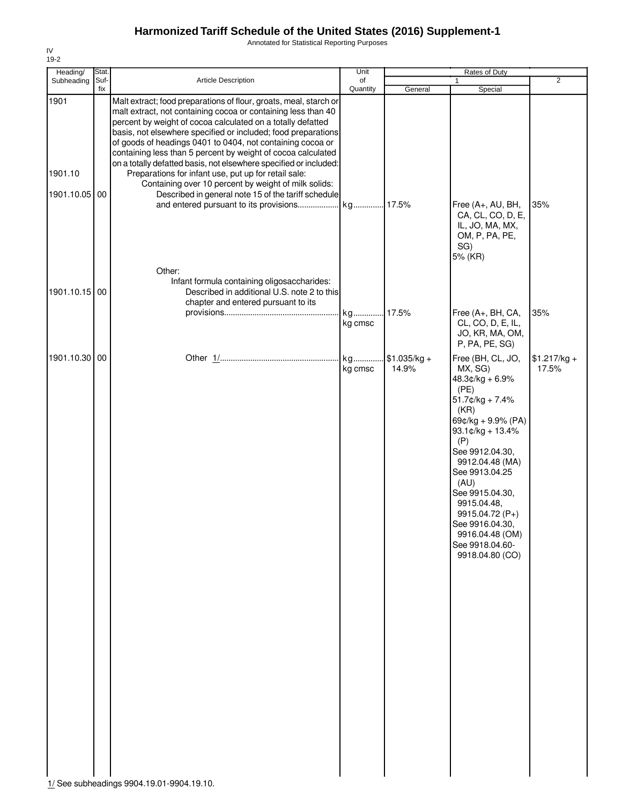Annotated for Statistical Reporting Purposes

| Heading/                         | Stat.       |                                                                                                                                                                                                                                                                                                                                                                                                                                                                                                                                                                                                                                              | Unit           |                        | Rates of Duty                                                                                                                                                                                                                                                                                                                             |                        |
|----------------------------------|-------------|----------------------------------------------------------------------------------------------------------------------------------------------------------------------------------------------------------------------------------------------------------------------------------------------------------------------------------------------------------------------------------------------------------------------------------------------------------------------------------------------------------------------------------------------------------------------------------------------------------------------------------------------|----------------|------------------------|-------------------------------------------------------------------------------------------------------------------------------------------------------------------------------------------------------------------------------------------------------------------------------------------------------------------------------------------|------------------------|
| Subheading                       | Suf-<br>fix | Article Description                                                                                                                                                                                                                                                                                                                                                                                                                                                                                                                                                                                                                          | of<br>Quantity | General                | $\mathbf{1}$<br>Special                                                                                                                                                                                                                                                                                                                   | $\overline{2}$         |
| 1901<br>1901.10<br>1901.10.05 00 |             | Malt extract; food preparations of flour, groats, meal, starch or<br>malt extract, not containing cocoa or containing less than 40<br>percent by weight of cocoa calculated on a totally defatted<br>basis, not elsewhere specified or included; food preparations<br>of goods of headings 0401 to 0404, not containing cocoa or<br>containing less than 5 percent by weight of cocoa calculated<br>on a totally defatted basis, not elsewhere specified or included:<br>Preparations for infant use, put up for retail sale:<br>Containing over 10 percent by weight of milk solids:<br>Described in general note 15 of the tariff schedule |                |                        | Free (A+, AU, BH,<br>CA, CL, CO, D, E,<br>IL, JO, MA, MX,<br>OM, P, PA, PE,<br>SG)                                                                                                                                                                                                                                                        | 35%                    |
| 1901.10.15 00                    |             | Other:<br>Infant formula containing oligosaccharides:<br>Described in additional U.S. note 2 to this<br>chapter and entered pursuant to its                                                                                                                                                                                                                                                                                                                                                                                                                                                                                                  |                |                        | 5% (KR)                                                                                                                                                                                                                                                                                                                                   |                        |
|                                  |             |                                                                                                                                                                                                                                                                                                                                                                                                                                                                                                                                                                                                                                              | kg<br>kg cmsc  | 17.5%                  | Free (A+, BH, CA,<br>CL, CO, D, E, IL,<br>JO, KR, MA, OM,<br>P, PA, PE, SG)                                                                                                                                                                                                                                                               | 35%                    |
| 1901.10.30                       | 00          |                                                                                                                                                                                                                                                                                                                                                                                                                                                                                                                                                                                                                                              | kg<br>kg cmsc  | $$1.035/kg +$<br>14.9% | Free (BH, CL, JO,<br>MX, SG)<br>$48.3¢/kg + 6.9%$<br>(PE)<br>51.7¢/kg + 7.4%<br>(KR)<br>69¢/kg + 9.9% (PA)<br>$93.1$ ¢/kg + 13.4%<br>(P)<br>See 9912.04.30,<br>9912.04.48 (MA)<br>See 9913.04.25<br>(AU)<br>See 9915.04.30,<br>9915.04.48,<br>9915.04.72 (P+)<br>See 9916.04.30,<br>9916.04.48 (OM)<br>See 9918.04.60-<br>9918.04.80 (CO) | $$1.217/kg +$<br>17.5% |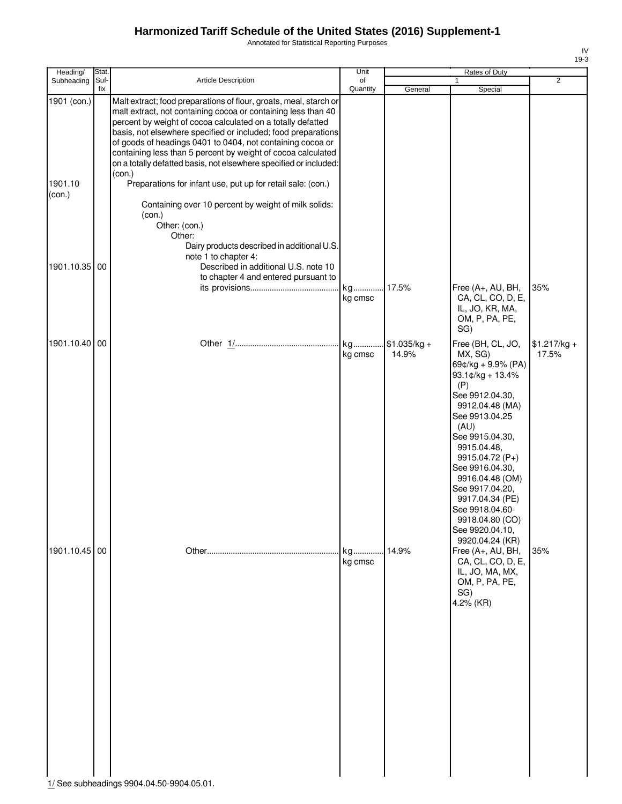Annotated for Statistical Reporting Purposes

| Heading/          | Stat.       |                                                                                                                                                                                                                                                                                                                                                                                                                                                                                 | Unit           |                        | Rates of Duty                                                                                                                                                                                                                                                                                                                                                 |                        |
|-------------------|-------------|---------------------------------------------------------------------------------------------------------------------------------------------------------------------------------------------------------------------------------------------------------------------------------------------------------------------------------------------------------------------------------------------------------------------------------------------------------------------------------|----------------|------------------------|---------------------------------------------------------------------------------------------------------------------------------------------------------------------------------------------------------------------------------------------------------------------------------------------------------------------------------------------------------------|------------------------|
| Subheading        | Suf-<br>fix | <b>Article Description</b>                                                                                                                                                                                                                                                                                                                                                                                                                                                      | of<br>Quantity | General                | Special                                                                                                                                                                                                                                                                                                                                                       | 2                      |
| 1901 (con.)       |             | Malt extract; food preparations of flour, groats, meal, starch or<br>malt extract, not containing cocoa or containing less than 40<br>percent by weight of cocoa calculated on a totally defatted<br>basis, not elsewhere specified or included; food preparations<br>of goods of headings 0401 to 0404, not containing cocoa or<br>containing less than 5 percent by weight of cocoa calculated<br>on a totally defatted basis, not elsewhere specified or included:<br>(con.) |                |                        |                                                                                                                                                                                                                                                                                                                                                               |                        |
| 1901.10<br>(con.) |             | Preparations for infant use, put up for retail sale: (con.)<br>Containing over 10 percent by weight of milk solids:<br>(con.)<br>Other: (con.)                                                                                                                                                                                                                                                                                                                                  |                |                        |                                                                                                                                                                                                                                                                                                                                                               |                        |
| 1901.10.35        | 00          | Other:<br>Dairy products described in additional U.S.<br>note 1 to chapter 4:<br>Described in additional U.S. note 10<br>to chapter 4 and entered pursuant to                                                                                                                                                                                                                                                                                                                   |                | 17.5%                  | Free (A+, AU, BH,                                                                                                                                                                                                                                                                                                                                             | 35%                    |
|                   |             |                                                                                                                                                                                                                                                                                                                                                                                                                                                                                 | kg cmsc        |                        | CA, CL, CO, D, E,<br>IL, JO, KR, MA,<br>OM, P, PA, PE,<br>SG)                                                                                                                                                                                                                                                                                                 |                        |
| 1901.10.40 00     |             |                                                                                                                                                                                                                                                                                                                                                                                                                                                                                 | kg<br>kg cmsc  | $$1.035/kg +$<br>14.9% | Free (BH, CL, JO,<br>MX, SG)<br>69¢/kg + 9.9% (PA)<br>$93.1$ ¢/kg + 13.4%<br>(P)<br>See 9912.04.30,<br>9912.04.48 (MA)<br>See 9913.04.25<br>(AU)<br>See 9915.04.30,<br>9915.04.48,<br>9915.04.72 (P+)<br>See 9916.04.30,<br>9916.04.48 (OM)<br>See 9917.04.20,<br>9917.04.34 (PE)<br>See 9918.04.60-<br>9918.04.80 (CO)<br>See 9920.04.10,<br>9920.04.24 (KR) | $$1.217/kg +$<br>17.5% |
| 1901.10.45 00     |             | 1/ See subheadings 9904.04.50-9904.05.01.                                                                                                                                                                                                                                                                                                                                                                                                                                       | kg<br>kg cmsc  | 14.9%                  | Free (A+, AU, BH,<br>CA, CL, CO, D, E,<br>IL, JO, MA, MX,<br>OM, P, PA, PE,<br>SG)<br>4.2% (KR)                                                                                                                                                                                                                                                               | 35%                    |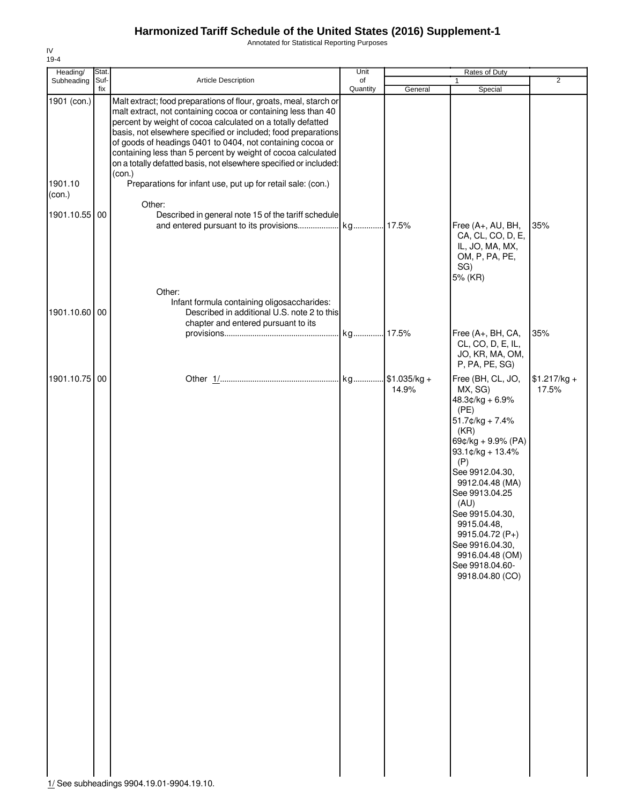Annotated for Statistical Reporting Purposes

| Heading/               | Stat.       |                                                                                                                                                                                                                                                                                                                                                                                                                                                                                                                                                | Unit           |         | Rates of Duty                                                                                                                                                                                                                                                                                                                             |                        |
|------------------------|-------------|------------------------------------------------------------------------------------------------------------------------------------------------------------------------------------------------------------------------------------------------------------------------------------------------------------------------------------------------------------------------------------------------------------------------------------------------------------------------------------------------------------------------------------------------|----------------|---------|-------------------------------------------------------------------------------------------------------------------------------------------------------------------------------------------------------------------------------------------------------------------------------------------------------------------------------------------|------------------------|
| Subheading             | Suf-<br>fix | Article Description                                                                                                                                                                                                                                                                                                                                                                                                                                                                                                                            | of<br>Quantity | General | 1<br>Special                                                                                                                                                                                                                                                                                                                              | $\overline{2}$         |
| 1901 (con.)<br>1901.10 |             | Malt extract; food preparations of flour, groats, meal, starch or<br>malt extract, not containing cocoa or containing less than 40<br>percent by weight of cocoa calculated on a totally defatted<br>basis, not elsewhere specified or included; food preparations<br>of goods of headings 0401 to 0404, not containing cocoa or<br>containing less than 5 percent by weight of cocoa calculated<br>on a totally defatted basis, not elsewhere specified or included:<br>(con.)<br>Preparations for infant use, put up for retail sale: (con.) |                |         |                                                                                                                                                                                                                                                                                                                                           |                        |
| (con.)                 |             | Other:                                                                                                                                                                                                                                                                                                                                                                                                                                                                                                                                         |                |         |                                                                                                                                                                                                                                                                                                                                           |                        |
| 1901.10.55             | 00          | Described in general note 15 of the tariff schedule                                                                                                                                                                                                                                                                                                                                                                                                                                                                                            |                |         | Free (A+, AU, BH,<br>CA, CL, CO, D, E,<br>IL, JO, MA, MX,<br>OM, P, PA, PE,<br>SG)<br>5% (KR)                                                                                                                                                                                                                                             | 35%                    |
| 1901.10.60             | 00          | Other:<br>Infant formula containing oligosaccharides:<br>Described in additional U.S. note 2 to this<br>chapter and entered pursuant to its                                                                                                                                                                                                                                                                                                                                                                                                    |                |         |                                                                                                                                                                                                                                                                                                                                           |                        |
|                        |             |                                                                                                                                                                                                                                                                                                                                                                                                                                                                                                                                                |                |         | Free (A+, BH, CA,<br>CL, CO, D, E, IL,<br>JO, KR, MA, OM,<br>P, PA, PE, SG)                                                                                                                                                                                                                                                               | 35%                    |
| 1901.10.75 00          |             |                                                                                                                                                                                                                                                                                                                                                                                                                                                                                                                                                |                | 14.9%   | Free (BH, CL, JO,<br>MX, SG)<br>$48.3¢/kg + 6.9%$<br>(PE)<br>$51.7$ ¢/kg + 7.4%<br>(KR)<br>69¢/kg + 9.9% (PA)<br>93.1¢/kg + 13.4%<br>(P)<br>See 9912.04.30,<br>9912.04.48 (MA)<br>See 9913.04.25<br>(AU)<br>See 9915.04.30,<br>9915.04.48,<br>9915.04.72 (P+)<br>See 9916.04.30,<br>9916.04.48 (OM)<br>See 9918.04.60-<br>9918.04.80 (CO) | $$1.217/kg +$<br>17.5% |

IV 19-4

1/ See subheadings 9904.19.01-9904.19.10.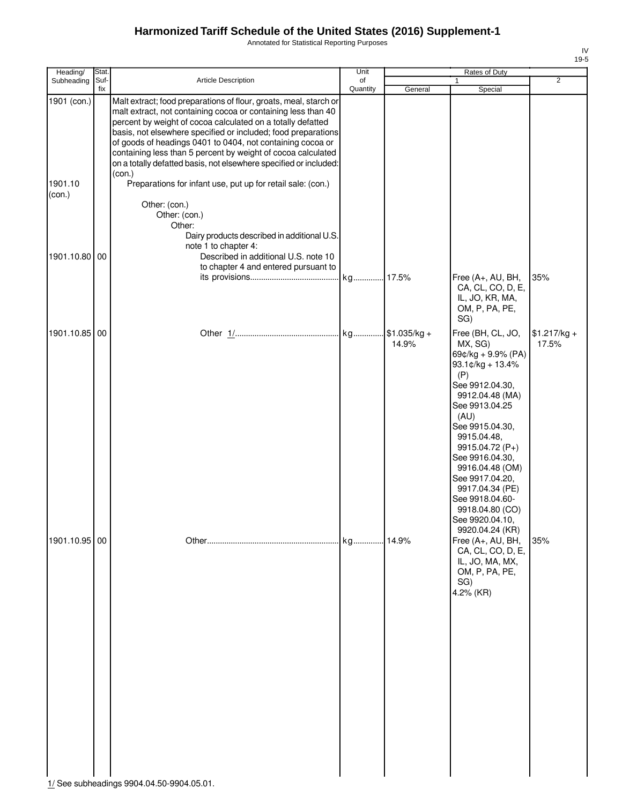Annotated for Statistical Reporting Purposes

| Heading/          | Stat.       |                                                                                                                                                                                                                                                                                                                                                                                                                                                                                 | Unit           |         | Rates of Duty                                                                                                                                                                                                                                                                                                                           |                        |
|-------------------|-------------|---------------------------------------------------------------------------------------------------------------------------------------------------------------------------------------------------------------------------------------------------------------------------------------------------------------------------------------------------------------------------------------------------------------------------------------------------------------------------------|----------------|---------|-----------------------------------------------------------------------------------------------------------------------------------------------------------------------------------------------------------------------------------------------------------------------------------------------------------------------------------------|------------------------|
| Subheading        | Suf-<br>fix | <b>Article Description</b>                                                                                                                                                                                                                                                                                                                                                                                                                                                      | of<br>Quantity | General | Special                                                                                                                                                                                                                                                                                                                                 | $\overline{2}$         |
| 1901 (con.)       |             | Malt extract; food preparations of flour, groats, meal, starch or<br>malt extract, not containing cocoa or containing less than 40<br>percent by weight of cocoa calculated on a totally defatted<br>basis, not elsewhere specified or included; food preparations<br>of goods of headings 0401 to 0404, not containing cocoa or<br>containing less than 5 percent by weight of cocoa calculated<br>on a totally defatted basis, not elsewhere specified or included:<br>(con.) |                |         |                                                                                                                                                                                                                                                                                                                                         |                        |
| 1901.10<br>(con.) |             | Preparations for infant use, put up for retail sale: (con.)<br>Other: (con.)                                                                                                                                                                                                                                                                                                                                                                                                    |                |         |                                                                                                                                                                                                                                                                                                                                         |                        |
| 1901.10.80        | 00          | Other: (con.)<br>Other:<br>Dairy products described in additional U.S.<br>note 1 to chapter 4:<br>Described in additional U.S. note 10<br>to chapter 4 and entered pursuant to                                                                                                                                                                                                                                                                                                  |                |         |                                                                                                                                                                                                                                                                                                                                         |                        |
|                   |             |                                                                                                                                                                                                                                                                                                                                                                                                                                                                                 | kg 17.5%       |         | Free (A+, AU, BH,<br>CA, CL, CO, D, E,<br>IL, JO, KR, MA,<br>OM, P, PA, PE,<br>SG)                                                                                                                                                                                                                                                      | 35%                    |
| 1901.10.85 00     |             |                                                                                                                                                                                                                                                                                                                                                                                                                                                                                 |                | 14.9%   | Free (BH, CL, JO,<br>MX, SG)<br>69¢/kg + 9.9% (PA)<br>93.1¢/kg + 13.4%<br>(P)<br>See 9912.04.30,<br>9912.04.48 (MA)<br>See 9913.04.25<br>(AU)<br>See 9915.04.30,<br>9915.04.48,<br>9915.04.72 (P+)<br>See 9916.04.30,<br>9916.04.48 (OM)<br>See 9917.04.20,<br>9917.04.34 (PE)<br>See 9918.04.60-<br>9918.04.80 (CO)<br>See 9920.04.10, | $$1.217/kg +$<br>17.5% |
| 1901.10.95 00     |             | 1/ See subheadings 9904.04.50-9904.05.01.                                                                                                                                                                                                                                                                                                                                                                                                                                       |                |         | 9920.04.24 (KR)<br>Free (A+, AU, BH,<br>CA, CL, CO, D, E,<br>IL, JO, MA, MX,<br>OM, P, PA, PE,<br>SG)<br>4.2% (KR)                                                                                                                                                                                                                      | 35%                    |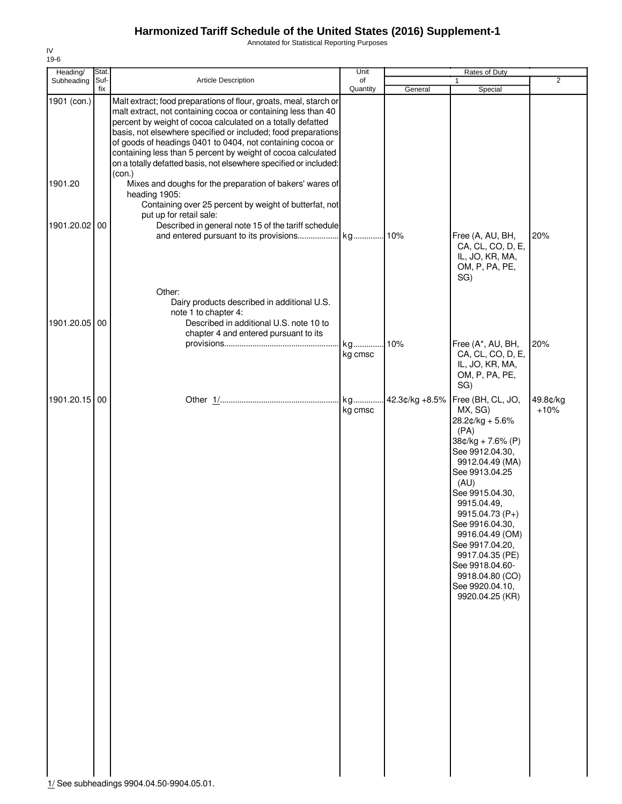Annotated for Statistical Reporting Purposes

| Heading/      | Stat.       |                                                                                                                                                                                                                                                                                                                                                                                                                                                                       | Unit           |                | Rates of Duty                                                                                                                                                                                                                                                                                                                                                 |                    |
|---------------|-------------|-----------------------------------------------------------------------------------------------------------------------------------------------------------------------------------------------------------------------------------------------------------------------------------------------------------------------------------------------------------------------------------------------------------------------------------------------------------------------|----------------|----------------|---------------------------------------------------------------------------------------------------------------------------------------------------------------------------------------------------------------------------------------------------------------------------------------------------------------------------------------------------------------|--------------------|
| Subheading    | Suf-<br>fix | Article Description                                                                                                                                                                                                                                                                                                                                                                                                                                                   | of<br>Quantity | General        | 1<br>Special                                                                                                                                                                                                                                                                                                                                                  | $\overline{2}$     |
| 1901 (con.)   |             | Malt extract; food preparations of flour, groats, meal, starch or<br>malt extract, not containing cocoa or containing less than 40<br>percent by weight of cocoa calculated on a totally defatted<br>basis, not elsewhere specified or included; food preparations<br>of goods of headings 0401 to 0404, not containing cocoa or<br>containing less than 5 percent by weight of cocoa calculated<br>on a totally defatted basis, not elsewhere specified or included: |                |                |                                                                                                                                                                                                                                                                                                                                                               |                    |
| 1901.20       |             | (con.)<br>Mixes and doughs for the preparation of bakers' wares of<br>heading 1905:<br>Containing over 25 percent by weight of butterfat, not                                                                                                                                                                                                                                                                                                                         |                |                |                                                                                                                                                                                                                                                                                                                                                               |                    |
| 1901.20.02 00 |             | put up for retail sale:<br>Described in general note 15 of the tariff schedule                                                                                                                                                                                                                                                                                                                                                                                        |                |                | Free (A, AU, BH,<br>CA, CL, CO, D, E,<br>IL, JO, KR, MA,<br>OM, P, PA, PE,<br>SG)                                                                                                                                                                                                                                                                             | 20%                |
| 1901.20.05 00 |             | Other:<br>Dairy products described in additional U.S.<br>note 1 to chapter 4:<br>Described in additional U.S. note 10 to<br>chapter 4 and entered pursuant to its                                                                                                                                                                                                                                                                                                     | kg             | .10%           | Free (A*, AU, BH,                                                                                                                                                                                                                                                                                                                                             | 20%                |
|               |             |                                                                                                                                                                                                                                                                                                                                                                                                                                                                       | kg cmsc        |                | CA, CL, CO, D, E,<br>IL, JO, KR, MA,<br>OM, P, PA, PE,<br>SG)                                                                                                                                                                                                                                                                                                 |                    |
| 1901.20.15 00 |             |                                                                                                                                                                                                                                                                                                                                                                                                                                                                       | kg<br>kg cmsc  | 42.3¢/kg +8.5% | Free (BH, CL, JO,<br>MX, SG)<br>$28.2¢/kg + 5.6%$<br>(PA)<br>$38¢/kg + 7.6% (P)$<br>See 9912.04.30,<br>9912.04.49 (MA)<br>See 9913.04.25<br>(AU)<br>See 9915.04.30,<br>9915.04.49,<br>9915.04.73 (P+)<br>See 9916.04.30,<br>9916.04.49 (OM)<br>See 9917.04.20,<br>9917.04.35 (PE)<br>See 9918.04.60-<br>9918.04.80 (CO)<br>See 9920.04.10,<br>9920.04.25 (KR) | 49.8¢/kg<br>$+10%$ |

IV 19-6

1/ See subheadings 9904.04.50-9904.05.01.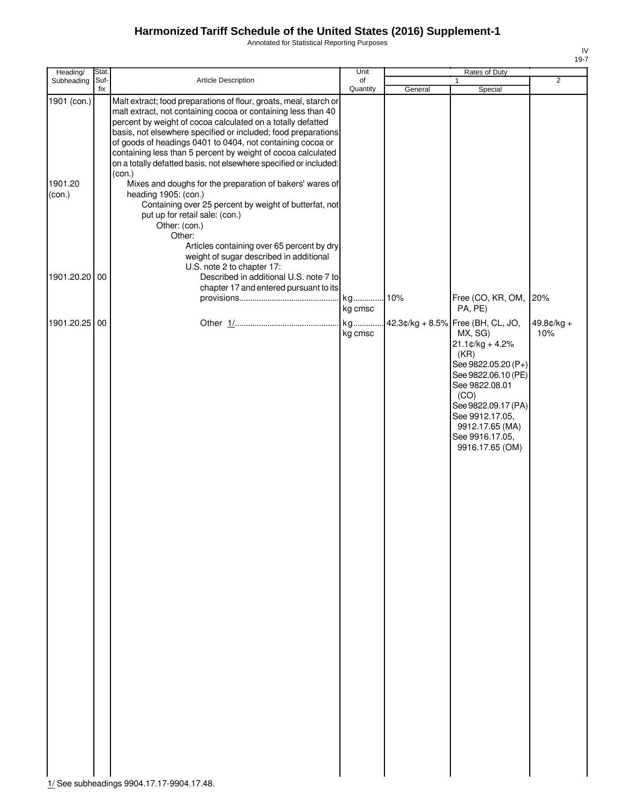Annotated for Statistical Reporting Purposes

| ۰.<br>× |
|---------|

| Heading/          | Stat. |                                                                                                                                                                                                                                                                                                                                                                                                                                                                       | Unit           |         | Rates of Duty                                                                                                                                                                                                                                         |                     |
|-------------------|-------|-----------------------------------------------------------------------------------------------------------------------------------------------------------------------------------------------------------------------------------------------------------------------------------------------------------------------------------------------------------------------------------------------------------------------------------------------------------------------|----------------|---------|-------------------------------------------------------------------------------------------------------------------------------------------------------------------------------------------------------------------------------------------------------|---------------------|
| Subheading        | Suf-  | Article Description                                                                                                                                                                                                                                                                                                                                                                                                                                                   | of<br>Quantity |         |                                                                                                                                                                                                                                                       | $\overline{2}$      |
| 1901 (con.)       | fix   | Malt extract; food preparations of flour, groats, meal, starch or<br>malt extract, not containing cocoa or containing less than 40<br>percent by weight of cocoa calculated on a totally defatted<br>basis, not elsewhere specified or included; food preparations<br>of goods of headings 0401 to 0404, not containing cocoa or<br>containing less than 5 percent by weight of cocoa calculated<br>on a totally defatted basis, not elsewhere specified or included: |                | General | Special                                                                                                                                                                                                                                               |                     |
| 1901.20<br>(con.) |       | (con.)<br>Mixes and doughs for the preparation of bakers' wares of<br>heading 1905: (con.)<br>Containing over 25 percent by weight of butterfat, not<br>put up for retail sale: (con.)<br>Other: (con.)<br>Other:<br>Articles containing over 65 percent by dry<br>weight of sugar described in additional                                                                                                                                                            |                |         |                                                                                                                                                                                                                                                       |                     |
| 1901.20.20 00     |       | U.S. note 2 to chapter 17:<br>Described in additional U.S. note 7 to<br>chapter 17 and entered pursuant to its                                                                                                                                                                                                                                                                                                                                                        | kg<br>kg cmsc  | .10%    | Free (CO, KR, OM,<br>PA, PE)                                                                                                                                                                                                                          | 20%                 |
| 1901.20.25 00     |       |                                                                                                                                                                                                                                                                                                                                                                                                                                                                       | kg<br>kg cmsc  |         | 42.3¢/kg + 8.5% Free (BH, CL, JO,<br>MX, SG)<br>$21.1$ ¢/kg + 4.2%<br>(KR)<br>See 9822.05.20 (P+)<br>See 9822.06.10 (PE)<br>See 9822.08.01<br>(CO)<br>See 9822.09.17 (PA)<br>See 9912.17.05,<br>9912.17.65 (MA)<br>See 9916.17.05,<br>9916.17.65 (OM) | $49.8¢/kg +$<br>10% |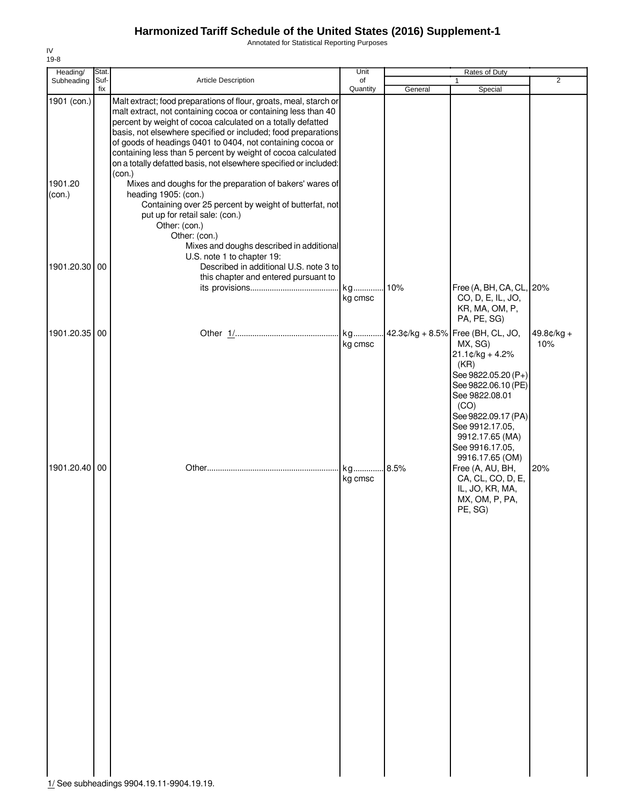Annotated for Statistical Reporting Purposes

| Article Description<br>Subheading<br>Suf-<br>of<br>fix<br>Quantity                                                                                                                                                                                                                                                                                                                                                                                                                                                                                                                                                                                                                                                                                                                                                                                                         |         | 1                                                                                                                                                                                                                                  | $\overline{2}$      |
|----------------------------------------------------------------------------------------------------------------------------------------------------------------------------------------------------------------------------------------------------------------------------------------------------------------------------------------------------------------------------------------------------------------------------------------------------------------------------------------------------------------------------------------------------------------------------------------------------------------------------------------------------------------------------------------------------------------------------------------------------------------------------------------------------------------------------------------------------------------------------|---------|------------------------------------------------------------------------------------------------------------------------------------------------------------------------------------------------------------------------------------|---------------------|
|                                                                                                                                                                                                                                                                                                                                                                                                                                                                                                                                                                                                                                                                                                                                                                                                                                                                            | General | Special                                                                                                                                                                                                                            |                     |
| 1901 (con.)<br>Malt extract; food preparations of flour, groats, meal, starch or<br>malt extract, not containing cocoa or containing less than 40<br>percent by weight of cocoa calculated on a totally defatted<br>basis, not elsewhere specified or included; food preparations<br>of goods of headings 0401 to 0404, not containing cocoa or<br>containing less than 5 percent by weight of cocoa calculated<br>on a totally defatted basis, not elsewhere specified or included:<br>(con.)<br>1901.20<br>Mixes and doughs for the preparation of bakers' wares of<br>heading 1905: (con.)<br>(con.)<br>Containing over 25 percent by weight of butterfat, not<br>put up for retail sale: (con.)<br>Other: (con.)<br>Other: (con.)<br>Mixes and doughs described in additional<br>U.S. note 1 to chapter 19:<br>1901.20.30 00<br>Described in additional U.S. note 3 to |         |                                                                                                                                                                                                                                    |                     |
| this chapter and entered pursuant to<br>10%<br>kg<br>kg cmsc                                                                                                                                                                                                                                                                                                                                                                                                                                                                                                                                                                                                                                                                                                                                                                                                               |         | Free (A, BH, CA, CL, 20%<br>CO, D, E, IL, JO,<br>KR, MA, OM, P,<br>PA, PE, SG)                                                                                                                                                     |                     |
| 1901.20.35<br>kg<br>00<br>kg cmsc                                                                                                                                                                                                                                                                                                                                                                                                                                                                                                                                                                                                                                                                                                                                                                                                                                          |         | 42.3¢/kg + 8.5% Free (BH, CL, JO,<br>MX, SG)<br>$21.1$ ¢/kg + 4.2%<br>(KR)<br>See 9822.05.20 (P+)<br>See 9822.06.10 (PE)<br>See 9822.08.01<br>(CO)<br>See 9822.09.17 (PA)<br>See 9912.17.05,<br>9912.17.65 (MA)<br>See 9916.17.05, | $49.8¢/kg +$<br>10% |
| 1901.20.40<br>00<br>.8.5%<br>kg<br>kg cmsc<br>1/ See subheadings 9904.19.11-9904.19.19.                                                                                                                                                                                                                                                                                                                                                                                                                                                                                                                                                                                                                                                                                                                                                                                    |         | 9916.17.65 (OM)<br>Free (A, AU, BH,<br>CA, CL, CO, D, E,<br>IL, JO, KR, MA,<br>MX, OM, P, PA,<br>PE, SG)                                                                                                                           | 20%                 |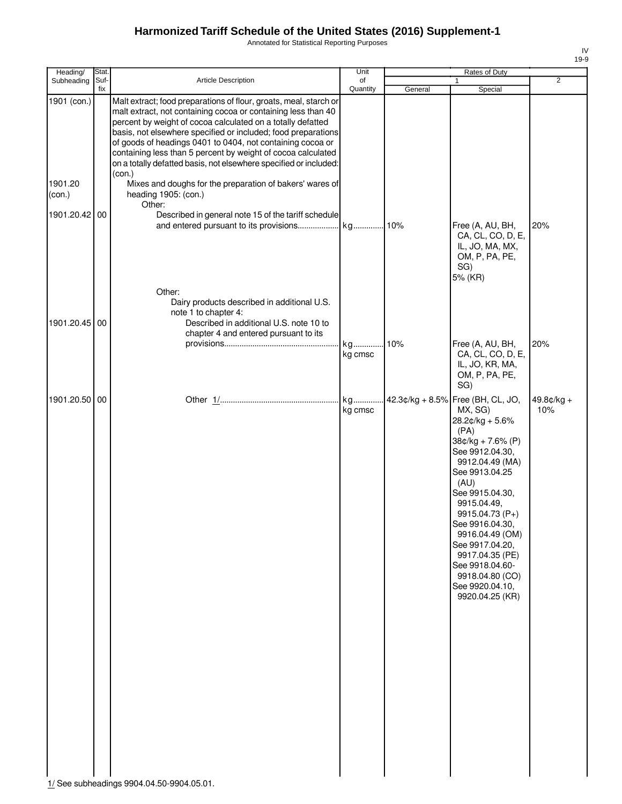Annotated for Statistical Reporting Purposes

| Heading/          | Stat. |                                                                                                                                                                                                                                                                                                                                                                                                  | Unit          |         | Rates of Duty                                                                                                                                                                                                                                                                                                                                                             |                     |
|-------------------|-------|--------------------------------------------------------------------------------------------------------------------------------------------------------------------------------------------------------------------------------------------------------------------------------------------------------------------------------------------------------------------------------------------------|---------------|---------|---------------------------------------------------------------------------------------------------------------------------------------------------------------------------------------------------------------------------------------------------------------------------------------------------------------------------------------------------------------------------|---------------------|
| Subheading        | Suf-  | Article Description                                                                                                                                                                                                                                                                                                                                                                              | of            |         | 1                                                                                                                                                                                                                                                                                                                                                                         | $\overline{2}$      |
| 1901 (con.)       | fix   | Malt extract; food preparations of flour, groats, meal, starch or                                                                                                                                                                                                                                                                                                                                | Quantity      | General | Special                                                                                                                                                                                                                                                                                                                                                                   |                     |
|                   |       | malt extract, not containing cocoa or containing less than 40<br>percent by weight of cocoa calculated on a totally defatted<br>basis, not elsewhere specified or included; food preparations<br>of goods of headings 0401 to 0404, not containing cocoa or<br>containing less than 5 percent by weight of cocoa calculated<br>on a totally defatted basis, not elsewhere specified or included: |               |         |                                                                                                                                                                                                                                                                                                                                                                           |                     |
| 1901.20<br>(con.) |       | (con.)<br>Mixes and doughs for the preparation of bakers' wares of<br>heading 1905: (con.)<br>Other:                                                                                                                                                                                                                                                                                             |               |         |                                                                                                                                                                                                                                                                                                                                                                           |                     |
| 1901.20.42 00     |       | Described in general note 15 of the tariff schedule                                                                                                                                                                                                                                                                                                                                              |               |         | Free (A, AU, BH,<br>CA, CL, CO, D, E,<br>IL, JO, MA, MX,<br>OM, P, PA, PE,<br>SG)<br>5% (KR)                                                                                                                                                                                                                                                                              | 20%                 |
| 1901.20.45 00     |       | Other:<br>Dairy products described in additional U.S.<br>note 1 to chapter 4:<br>Described in additional U.S. note 10 to<br>chapter 4 and entered pursuant to its                                                                                                                                                                                                                                |               |         |                                                                                                                                                                                                                                                                                                                                                                           |                     |
|                   |       |                                                                                                                                                                                                                                                                                                                                                                                                  | kg<br>kg cmsc | 10%     | Free (A, AU, BH,<br>CA, CL, CO, D, E,<br>IL, JO, KR, MA,<br>OM, P, PA, PE,<br>SG)                                                                                                                                                                                                                                                                                         | 20%                 |
| 1901.20.50 00     |       |                                                                                                                                                                                                                                                                                                                                                                                                  | kg<br>kg cmsc |         | 42.3¢/kg + 8.5% Free (BH, CL, JO,<br>MX, SG)<br>28.2¢/kg + 5.6%<br>(PA)<br>38¢/kg + 7.6% (P)<br>See 9912.04.30,<br>9912.04.49 (MA)<br>See 9913.04.25<br>(AU)<br>See 9915.04.30,<br>9915.04.49,<br>9915.04.73 (P+)<br>See 9916.04.30,<br>9916.04.49 (OM)<br>See 9917.04.20.<br>9917.04.35 (PE)<br>See 9918.04.60-<br>9918.04.80 (CO)<br>See 9920.04.10,<br>9920.04.25 (KR) | $49.8¢/kg +$<br>10% |

1/ See subheadings 9904.04.50-9904.05.01.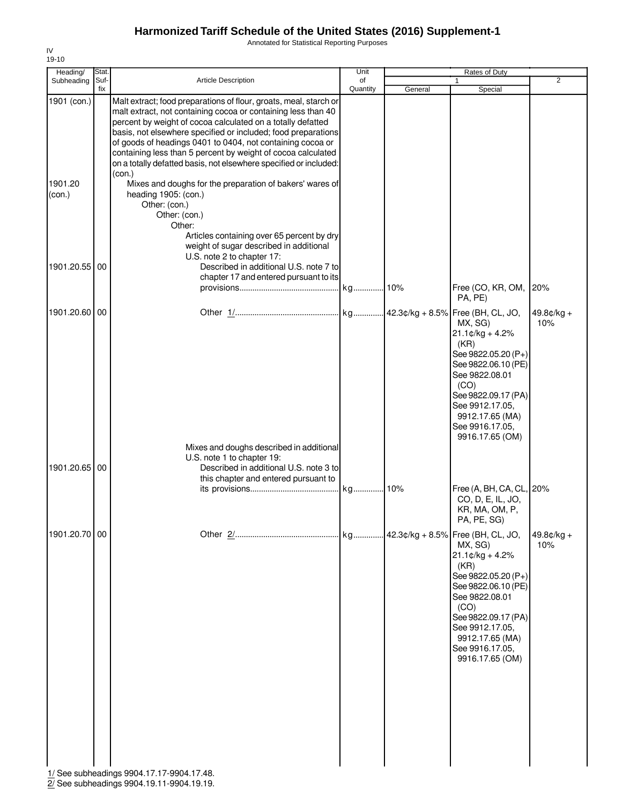Annotated for Statistical Reporting Purposes

| Article Description<br>2<br>Subheading<br>Suf-<br>of<br>1<br>Quantity<br>fix<br>General<br>Special<br>1901 (con.)<br>Malt extract; food preparations of flour, groats, meal, starch or<br>malt extract, not containing cocoa or containing less than 40<br>percent by weight of cocoa calculated on a totally defatted<br>basis, not elsewhere specified or included; food preparations<br>of goods of headings 0401 to 0404, not containing cocoa or<br>containing less than 5 percent by weight of cocoa calculated<br>on a totally defatted basis, not elsewhere specified or included:<br>(con.)<br>1901.20<br>Mixes and doughs for the preparation of bakers' wares of<br>(con.)<br>heading 1905: (con.)<br>Other: (con.)<br>Other: (con.)<br>Other:<br>Articles containing over 65 percent by dry<br>weight of sugar described in additional<br>U.S. note 2 to chapter 17:<br>1901.20.55 00<br>Described in additional U.S. note 7 to<br>chapter 17 and entered pursuant to its<br>20%<br>Free (CO, KR, OM,<br>PA, PE)<br>1901.20.60 00<br>$49.8¢/kg +$<br>10%<br>MX, SG)<br>$21.1$ ¢/kg + 4.2%<br>(KR)<br>See 9822.05.20 (P+)<br>See 9822.06.10 (PE)<br>See 9822.08.01<br>(CO)<br>See 9822.09.17 (PA)<br>See 9912.17.05,<br>9912.17.65 (MA)<br>See 9916.17.05,<br>9916.17.65 (OM)<br>Mixes and doughs described in additional<br>U.S. note 1 to chapter 19:<br>1901.20.65 00<br>Described in additional U.S. note 3 to<br>this chapter and entered pursuant to<br>Free (A, BH, CA, CL, 20%<br>CO, D, E, IL, JO,<br>KR, MA, OM, P,<br>PA, PE, SG)<br>1901.20.70 00<br>$49.8¢/kg +$<br>10%<br>MX, SG)<br>$21.1 \text{C/kg} + 4.2\%$<br>(KR)<br>See 9822.05.20 (P+)<br>See 9822.06.10 (PE)<br>See 9822.08.01<br>(CO)<br>See 9822.09.17 (PA)<br>See 9912.17.05,<br>9912.17.65 (MA)<br>See 9916.17.05,<br>9916.17.65 (OM)<br>1/ See subheadings 9904.17.17-9904.17.48. | Heading/ | Stat. | Unit | Rates of Duty |  |
|--------------------------------------------------------------------------------------------------------------------------------------------------------------------------------------------------------------------------------------------------------------------------------------------------------------------------------------------------------------------------------------------------------------------------------------------------------------------------------------------------------------------------------------------------------------------------------------------------------------------------------------------------------------------------------------------------------------------------------------------------------------------------------------------------------------------------------------------------------------------------------------------------------------------------------------------------------------------------------------------------------------------------------------------------------------------------------------------------------------------------------------------------------------------------------------------------------------------------------------------------------------------------------------------------------------------------------------------------------------------------------------------------------------------------------------------------------------------------------------------------------------------------------------------------------------------------------------------------------------------------------------------------------------------------------------------------------------------------------------------------------------------------------------------------------------------------------------------------------------------------|----------|-------|------|---------------|--|
|                                                                                                                                                                                                                                                                                                                                                                                                                                                                                                                                                                                                                                                                                                                                                                                                                                                                                                                                                                                                                                                                                                                                                                                                                                                                                                                                                                                                                                                                                                                                                                                                                                                                                                                                                                                                                                                                          |          |       |      |               |  |
|                                                                                                                                                                                                                                                                                                                                                                                                                                                                                                                                                                                                                                                                                                                                                                                                                                                                                                                                                                                                                                                                                                                                                                                                                                                                                                                                                                                                                                                                                                                                                                                                                                                                                                                                                                                                                                                                          |          |       |      |               |  |
|                                                                                                                                                                                                                                                                                                                                                                                                                                                                                                                                                                                                                                                                                                                                                                                                                                                                                                                                                                                                                                                                                                                                                                                                                                                                                                                                                                                                                                                                                                                                                                                                                                                                                                                                                                                                                                                                          |          |       |      |               |  |
|                                                                                                                                                                                                                                                                                                                                                                                                                                                                                                                                                                                                                                                                                                                                                                                                                                                                                                                                                                                                                                                                                                                                                                                                                                                                                                                                                                                                                                                                                                                                                                                                                                                                                                                                                                                                                                                                          |          |       |      |               |  |
|                                                                                                                                                                                                                                                                                                                                                                                                                                                                                                                                                                                                                                                                                                                                                                                                                                                                                                                                                                                                                                                                                                                                                                                                                                                                                                                                                                                                                                                                                                                                                                                                                                                                                                                                                                                                                                                                          |          |       |      |               |  |
|                                                                                                                                                                                                                                                                                                                                                                                                                                                                                                                                                                                                                                                                                                                                                                                                                                                                                                                                                                                                                                                                                                                                                                                                                                                                                                                                                                                                                                                                                                                                                                                                                                                                                                                                                                                                                                                                          |          |       |      |               |  |
|                                                                                                                                                                                                                                                                                                                                                                                                                                                                                                                                                                                                                                                                                                                                                                                                                                                                                                                                                                                                                                                                                                                                                                                                                                                                                                                                                                                                                                                                                                                                                                                                                                                                                                                                                                                                                                                                          |          |       |      |               |  |

2/ See subheadings 9904.19.11-9904.19.19.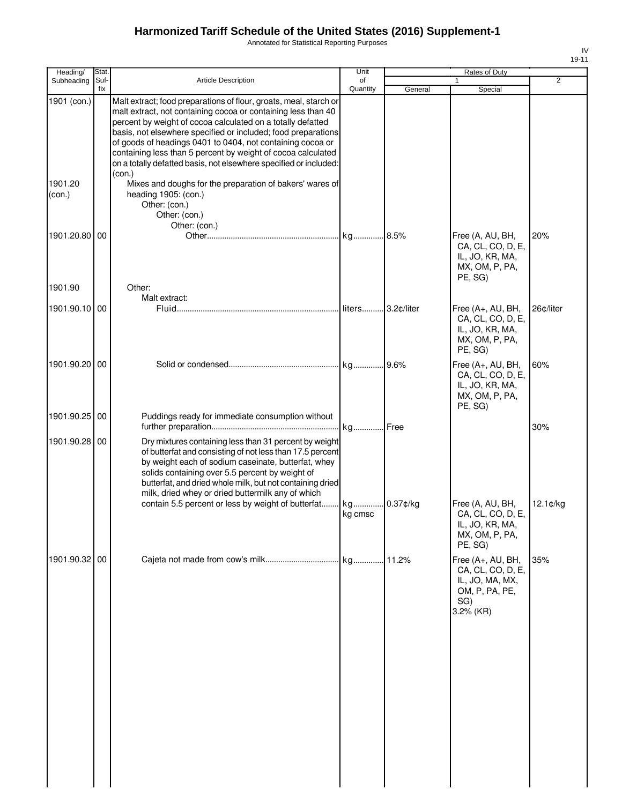Annotated for Statistical Reporting Purposes

| Heading/          | Stat.       |                                                                                                                                                                                                                                                                                                                                                                                                                                                                       | Unit     |            | Rates of Duty                                                                                   |                |
|-------------------|-------------|-----------------------------------------------------------------------------------------------------------------------------------------------------------------------------------------------------------------------------------------------------------------------------------------------------------------------------------------------------------------------------------------------------------------------------------------------------------------------|----------|------------|-------------------------------------------------------------------------------------------------|----------------|
| Subheading        | Suf-<br>fix | <b>Article Description</b>                                                                                                                                                                                                                                                                                                                                                                                                                                            | of       |            | 1                                                                                               | $\overline{2}$ |
| 1901 (con.)       |             | Malt extract; food preparations of flour, groats, meal, starch or<br>malt extract, not containing cocoa or containing less than 40<br>percent by weight of cocoa calculated on a totally defatted<br>basis, not elsewhere specified or included; food preparations<br>of goods of headings 0401 to 0404, not containing cocoa or<br>containing less than 5 percent by weight of cocoa calculated<br>on a totally defatted basis, not elsewhere specified or included: | Quantity | General    | Special                                                                                         |                |
| 1901.20<br>(con.) |             | (con.)<br>Mixes and doughs for the preparation of bakers' wares of<br>heading 1905: (con.)<br>Other: (con.)<br>Other: (con.)                                                                                                                                                                                                                                                                                                                                          |          |            |                                                                                                 |                |
| 1901.20.80 00     |             | Other: (con.)                                                                                                                                                                                                                                                                                                                                                                                                                                                         |          |            | Free (A, AU, BH,<br>CA, CL, CO, D, E,<br>IL, JO, KR, MA,<br>MX, OM, P, PA,<br>PE, SG)           | 20%            |
| 1901.90           |             | Other:                                                                                                                                                                                                                                                                                                                                                                                                                                                                |          |            |                                                                                                 |                |
| 1901.90.10 00     |             | Malt extract:                                                                                                                                                                                                                                                                                                                                                                                                                                                         | liters   | 3.2¢/liter | Free (A+, AU, BH,<br>CA, CL, CO, D, E,<br>IL, JO, KR, MA,<br>MX, OM, P, PA,<br>PE, SG)          | 26c/liter      |
| 1901.90.20 00     |             |                                                                                                                                                                                                                                                                                                                                                                                                                                                                       |          |            | Free (A+, AU, BH,<br>CA, CL, CO, D, E,<br>IL, JO, KR, MA,<br>MX, OM, P, PA,<br>PE, SG)          | 60%            |
| 1901.90.25 00     |             | Puddings ready for immediate consumption without                                                                                                                                                                                                                                                                                                                                                                                                                      | kg Free  |            |                                                                                                 | 30%            |
| 1901.90.28 00     |             | Dry mixtures containing less than 31 percent by weight<br>of butterfat and consisting of not less than 17.5 percent<br>by weight each of sodium caseinate, butterfat, whey<br>solids containing over 5.5 percent by weight of<br>butterfat, and dried whole milk, but not containing dried<br>milk, dried whey or dried buttermilk any of which<br>contain 5.5 percent or less by weight of butterfat kg                                                              | kg cmsc  | 0.37¢/kg   | Free (A, AU, BH,<br>CA, CL, CO, D, E,<br>IL, JO, KR, MA,<br>MX, OM, P, PA,<br>PE, SG)           | $12.1$ ¢/kg    |
| 1901.90.32 00     |             |                                                                                                                                                                                                                                                                                                                                                                                                                                                                       |          |            | Free (A+, AU, BH,<br>CA, CL, CO, D, E,<br>IL, JO, MA, MX,<br>OM, P, PA, PE,<br>SG)<br>3.2% (KR) | 35%            |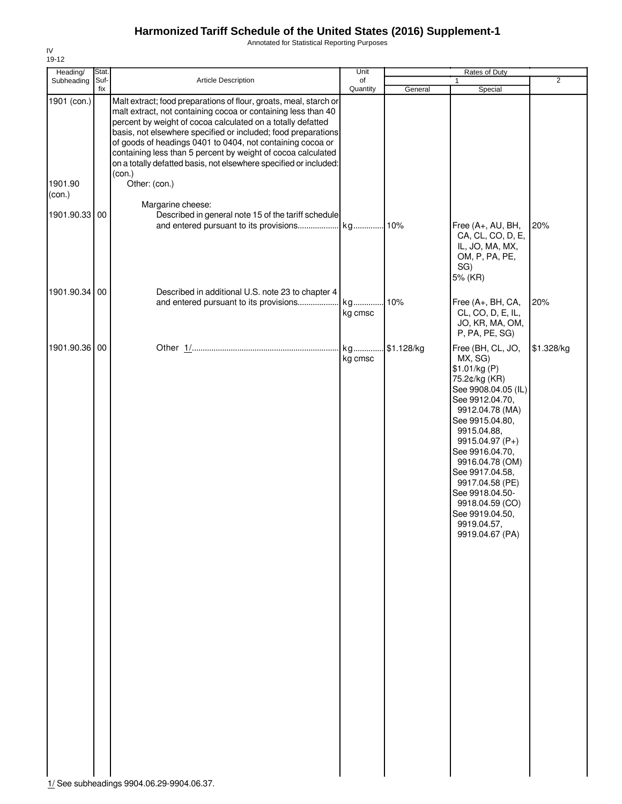Annotated for Statistical Reporting Purposes

| Heading/          | Stat.       |                                                                                                                                                                                                                                                                                                                                                                                                                                                                                 | Unit           |            | Rates of Duty                                                                                                                                                                                                                                                                                                                                           |                |
|-------------------|-------------|---------------------------------------------------------------------------------------------------------------------------------------------------------------------------------------------------------------------------------------------------------------------------------------------------------------------------------------------------------------------------------------------------------------------------------------------------------------------------------|----------------|------------|---------------------------------------------------------------------------------------------------------------------------------------------------------------------------------------------------------------------------------------------------------------------------------------------------------------------------------------------------------|----------------|
| Subheading        | Suf-<br>fix | Article Description                                                                                                                                                                                                                                                                                                                                                                                                                                                             | of<br>Quantity | General    | $\mathbf{1}$<br>Special                                                                                                                                                                                                                                                                                                                                 | $\overline{2}$ |
| 1901 (con.)       |             | Malt extract; food preparations of flour, groats, meal, starch or<br>malt extract, not containing cocoa or containing less than 40<br>percent by weight of cocoa calculated on a totally defatted<br>basis, not elsewhere specified or included; food preparations<br>of goods of headings 0401 to 0404, not containing cocoa or<br>containing less than 5 percent by weight of cocoa calculated<br>on a totally defatted basis, not elsewhere specified or included:<br>(con.) |                |            |                                                                                                                                                                                                                                                                                                                                                         |                |
| 1901.90<br>(con.) |             | Other: (con.)                                                                                                                                                                                                                                                                                                                                                                                                                                                                   |                |            |                                                                                                                                                                                                                                                                                                                                                         |                |
| 1901.90.33        | 00          | Margarine cheese:<br>Described in general note 15 of the tariff schedule<br>and entered pursuant to its provisions                                                                                                                                                                                                                                                                                                                                                              | kg 10%         |            | Free (A+, AU, BH,<br>CA, CL, CO, D, E,<br>IL, JO, MA, MX,<br>OM, P, PA, PE,<br>SG)<br>5% (KR)                                                                                                                                                                                                                                                           | 20%            |
| 1901.90.34 00     |             | Described in additional U.S. note 23 to chapter 4                                                                                                                                                                                                                                                                                                                                                                                                                               |                |            |                                                                                                                                                                                                                                                                                                                                                         |                |
|                   |             | and entered pursuant to its provisions                                                                                                                                                                                                                                                                                                                                                                                                                                          | kg<br>kg cmsc  | 10%        | Free (A+, BH, CA,<br>CL, CO, D, E, IL,<br>JO, KR, MA, OM,<br>P, PA, PE, SG)                                                                                                                                                                                                                                                                             | 20%            |
| 1901.90.36        | 00          |                                                                                                                                                                                                                                                                                                                                                                                                                                                                                 | kg<br>kg cmsc  | \$1.128/kg | Free (BH, CL, JO,<br>MX, SG)<br>\$1.01/kg (P)<br>75.2¢/kg (KR)<br>See 9908.04.05 (IL)<br>See 9912.04.70,<br>9912.04.78 (MA)<br>See 9915.04.80,<br>9915.04.88,<br>9915.04.97 (P+)<br>See 9916.04.70,<br>9916.04.78 (OM)<br>See 9917.04.58,<br>9917.04.58 (PE)<br>See 9918.04.50-<br>9918.04.59 (CO)<br>See 9919.04.50,<br>9919.04.57,<br>9919.04.67 (PA) | \$1.328/kg     |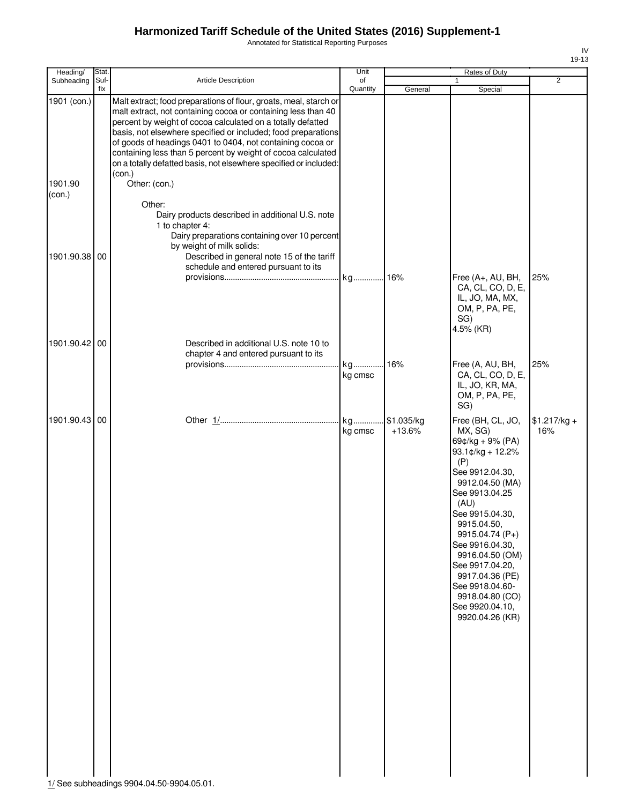Annotated for Statistical Reporting Purposes

| Heading/          | Stat.       |                                                                                                                                                                                                                                                                                                                                                                                                                                                                       | Unit           |                        | Rates of Duty                                                                                                                                                                                                                                                                                                                                              |                      |
|-------------------|-------------|-----------------------------------------------------------------------------------------------------------------------------------------------------------------------------------------------------------------------------------------------------------------------------------------------------------------------------------------------------------------------------------------------------------------------------------------------------------------------|----------------|------------------------|------------------------------------------------------------------------------------------------------------------------------------------------------------------------------------------------------------------------------------------------------------------------------------------------------------------------------------------------------------|----------------------|
| Subheading        | Suf-<br>fix | Article Description                                                                                                                                                                                                                                                                                                                                                                                                                                                   | of<br>Quantity | General                | $\mathbf{1}$<br>Special                                                                                                                                                                                                                                                                                                                                    | $\overline{2}$       |
| 1901 (con.)       |             | Malt extract; food preparations of flour, groats, meal, starch or<br>malt extract, not containing cocoa or containing less than 40<br>percent by weight of cocoa calculated on a totally defatted<br>basis, not elsewhere specified or included; food preparations<br>of goods of headings 0401 to 0404, not containing cocoa or<br>containing less than 5 percent by weight of cocoa calculated<br>on a totally defatted basis, not elsewhere specified or included: |                |                        |                                                                                                                                                                                                                                                                                                                                                            |                      |
| 1901.90<br>(con.) |             | (con.)<br>Other: (con.)<br>Other:<br>Dairy products described in additional U.S. note                                                                                                                                                                                                                                                                                                                                                                                 |                |                        |                                                                                                                                                                                                                                                                                                                                                            |                      |
| 1901.90.38        | 00          | 1 to chapter 4:<br>Dairy preparations containing over 10 percent<br>by weight of milk solids:<br>Described in general note 15 of the tariff<br>schedule and entered pursuant to its                                                                                                                                                                                                                                                                                   |                |                        |                                                                                                                                                                                                                                                                                                                                                            |                      |
|                   |             |                                                                                                                                                                                                                                                                                                                                                                                                                                                                       |                |                        | Free (A+, AU, BH,<br>CA, CL, CO, D, E,<br>IL, JO, MA, MX,<br>OM, P, PA, PE,<br>SG)<br>4.5% (KR)                                                                                                                                                                                                                                                            | 25%                  |
| 1901.90.42        | 00          | Described in additional U.S. note 10 to<br>chapter 4 and entered pursuant to its                                                                                                                                                                                                                                                                                                                                                                                      | kg<br>kg cmsc  | .16%                   | Free (A, AU, BH,<br>CA, CL, CO, D, E,<br>IL, JO, KR, MA,<br>OM, P, PA, PE,<br>SG)                                                                                                                                                                                                                                                                          | 25%                  |
| 1901.90.43        | 00          | 1/ See subheadings 9904.04.50-9904.05.01.                                                                                                                                                                                                                                                                                                                                                                                                                             | kg cmsc        | \$1.035/kg<br>$+13.6%$ | Free (BH, CL, JO,<br>MX, SG)<br>$69¢/kg + 9% (PA)$<br>93.1¢/kg + 12.2%<br>(P)<br>See 9912.04.30,<br>9912.04.50 (MA)<br>See 9913.04.25<br>(AU)<br>See 9915.04.30,<br>9915.04.50,<br>9915.04.74 (P+)<br>See 9916.04.30,<br>9916.04.50 (OM)<br>See 9917.04.20,<br>9917.04.36 (PE)<br>See 9918.04.60-<br>9918.04.80 (CO)<br>See 9920.04.10,<br>9920.04.26 (KR) | $$1.217/kg +$<br>16% |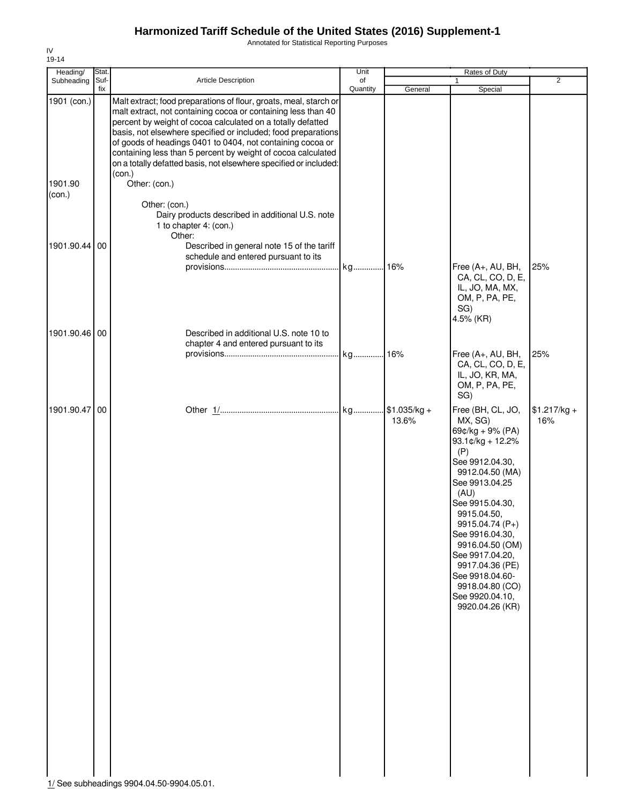Annotated for Statistical Reporting Purposes

| Heading/          | Stat.       |                                                                                                                                                                                                                                                                                                                                                                                                                                                                                 | Unit           |         | Rates of Duty                                                                                                                                                                                                                                                                                                                                                 |                      |
|-------------------|-------------|---------------------------------------------------------------------------------------------------------------------------------------------------------------------------------------------------------------------------------------------------------------------------------------------------------------------------------------------------------------------------------------------------------------------------------------------------------------------------------|----------------|---------|---------------------------------------------------------------------------------------------------------------------------------------------------------------------------------------------------------------------------------------------------------------------------------------------------------------------------------------------------------------|----------------------|
| Subheading        | Suf-<br>fix | Article Description                                                                                                                                                                                                                                                                                                                                                                                                                                                             | of<br>Quantity | General | 1<br>Special                                                                                                                                                                                                                                                                                                                                                  | $\overline{2}$       |
| 1901 (con.)       |             | Malt extract; food preparations of flour, groats, meal, starch or<br>malt extract, not containing cocoa or containing less than 40<br>percent by weight of cocoa calculated on a totally defatted<br>basis, not elsewhere specified or included; food preparations<br>of goods of headings 0401 to 0404, not containing cocoa or<br>containing less than 5 percent by weight of cocoa calculated<br>on a totally defatted basis, not elsewhere specified or included:<br>(con.) |                |         |                                                                                                                                                                                                                                                                                                                                                               |                      |
| 1901.90<br>(con.) |             | Other: (con.)<br>Other: (con.)<br>Dairy products described in additional U.S. note<br>1 to chapter 4: (con.)<br>Other:                                                                                                                                                                                                                                                                                                                                                          |                |         |                                                                                                                                                                                                                                                                                                                                                               |                      |
| 1901.90.44 00     |             | Described in general note 15 of the tariff<br>schedule and entered pursuant to its                                                                                                                                                                                                                                                                                                                                                                                              | kg 16%         |         | Free (A+, AU, BH,<br>CA, CL, CO, D, E,<br>IL, JO, MA, MX,<br>OM, P, PA, PE,<br>SG)                                                                                                                                                                                                                                                                            | 25%                  |
| 1901.90.46 00     |             | Described in additional U.S. note 10 to<br>chapter 4 and entered pursuant to its                                                                                                                                                                                                                                                                                                                                                                                                |                |         | 4.5% (KR)<br>Free (A+, AU, BH,                                                                                                                                                                                                                                                                                                                                | 25%                  |
|                   |             |                                                                                                                                                                                                                                                                                                                                                                                                                                                                                 |                |         | CA, CL, CO, D, E,<br>IL, JO, KR, MA,<br>OM, P, PA, PE,<br>SG)                                                                                                                                                                                                                                                                                                 |                      |
| 1901.90.47 00     |             | 1/ See subheadings 9904.04.50-9904.05.01.                                                                                                                                                                                                                                                                                                                                                                                                                                       |                | 13.6%   | Free (BH, CL, JO,<br>MX, SG)<br>$69¢/kg + 9% (PA)$<br>$93.1$ ¢/kg + 12.2%<br>(P)<br>See 9912.04.30,<br>9912.04.50 (MA)<br>See 9913.04.25<br>(AU)<br>See 9915.04.30,<br>9915.04.50,<br>9915.04.74 (P+)<br>See 9916.04.30,<br>9916.04.50 (OM)<br>See 9917.04.20,<br>9917.04.36 (PE)<br>See 9918.04.60-<br>9918.04.80 (CO)<br>See 9920.04.10,<br>9920.04.26 (KR) | $$1.217/kg +$<br>16% |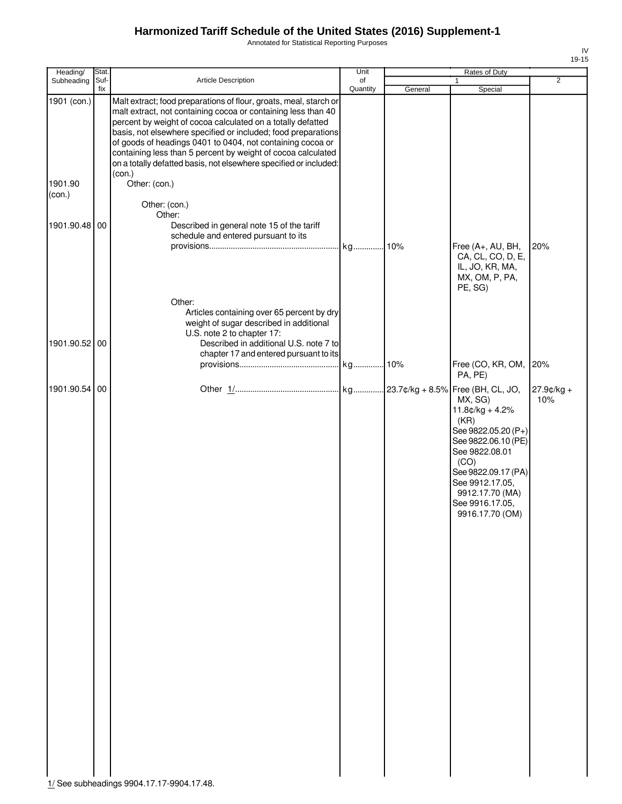Annotated for Statistical Reporting Purposes

| Heading/               | Stat.       |                                                                                                                                                                                                                                                                                                                                                                                                                                                                                                  | Unit           |         | Rates of Duty                                                                                                                                                                                                   |                   |
|------------------------|-------------|--------------------------------------------------------------------------------------------------------------------------------------------------------------------------------------------------------------------------------------------------------------------------------------------------------------------------------------------------------------------------------------------------------------------------------------------------------------------------------------------------|----------------|---------|-----------------------------------------------------------------------------------------------------------------------------------------------------------------------------------------------------------------|-------------------|
| Subheading             | Suf-<br>fix | <b>Article Description</b>                                                                                                                                                                                                                                                                                                                                                                                                                                                                       | of<br>Quantity | General | 1<br>Special                                                                                                                                                                                                    | $\overline{2}$    |
| 1901 (con.)<br>1901.90 |             | Malt extract; food preparations of flour, groats, meal, starch or<br>malt extract, not containing cocoa or containing less than 40<br>percent by weight of cocoa calculated on a totally defatted<br>basis, not elsewhere specified or included; food preparations<br>of goods of headings 0401 to 0404, not containing cocoa or<br>containing less than 5 percent by weight of cocoa calculated<br>on a totally defatted basis, not elsewhere specified or included:<br>(con.)<br>Other: (con.) |                |         |                                                                                                                                                                                                                 |                   |
| (con.)                 |             | Other: (con.)<br>Other:                                                                                                                                                                                                                                                                                                                                                                                                                                                                          |                |         |                                                                                                                                                                                                                 |                   |
| 1901.90.48 00          |             | Described in general note 15 of the tariff<br>schedule and entered pursuant to its                                                                                                                                                                                                                                                                                                                                                                                                               |                |         | Free (A+, AU, BH,<br>CA, CL, CO, D, E,<br>IL, JO, KR, MA,<br>MX, OM, P, PA,<br>PE, SG)                                                                                                                          | 20%               |
| 1901.90.52 00          |             | Other:<br>Articles containing over 65 percent by dry<br>weight of sugar described in additional<br>U.S. note 2 to chapter 17:<br>Described in additional U.S. note 7 to<br>chapter 17 and entered pursuant to its                                                                                                                                                                                                                                                                                |                |         |                                                                                                                                                                                                                 |                   |
|                        |             |                                                                                                                                                                                                                                                                                                                                                                                                                                                                                                  |                |         | Free (CO, KR, OM,<br>PA, PE)                                                                                                                                                                                    | 20%               |
| 1901.90.54 00          |             |                                                                                                                                                                                                                                                                                                                                                                                                                                                                                                  |                |         | MX, SG)<br>$11.8¢/kg + 4.2%$<br>(KR)<br>See 9822.05.20 (P+)<br>See 9822.06.10 (PE)<br>See 9822.08.01<br>(CO)<br>See 9822.09.17 (PA)<br>See 9912.17.05,<br>9912.17.70 (MA)<br>See 9916.17.05,<br>9916.17.70 (OM) | 27.9¢/kg +<br>10% |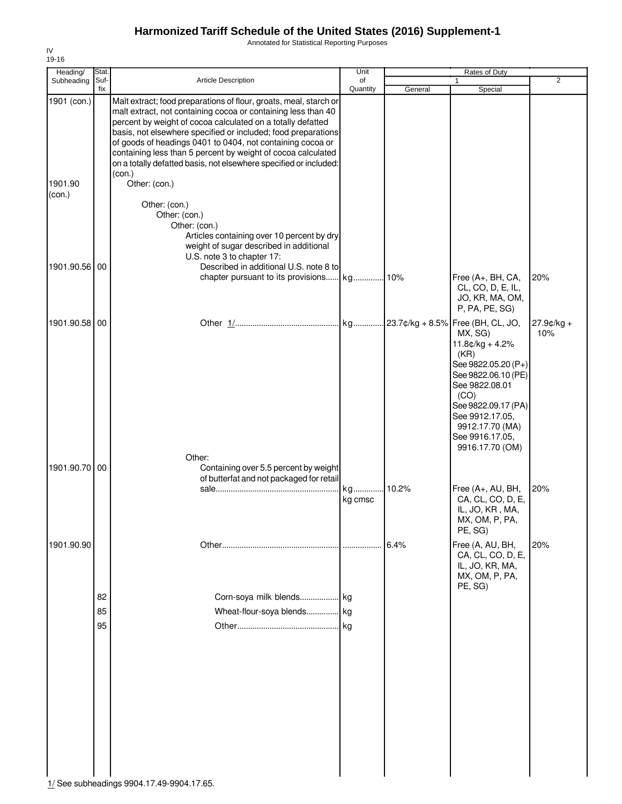Annotated for Statistical Reporting Purposes

| Heading/          | Stat.          |                                                                                                                                                                                                                                                                                                                                                                                                                                                                                 | Unit           |         | Rates of Duty                                                                                                                                                                                                   |                      |
|-------------------|----------------|---------------------------------------------------------------------------------------------------------------------------------------------------------------------------------------------------------------------------------------------------------------------------------------------------------------------------------------------------------------------------------------------------------------------------------------------------------------------------------|----------------|---------|-----------------------------------------------------------------------------------------------------------------------------------------------------------------------------------------------------------------|----------------------|
| Subheading        | Suf-<br>fix    | Article Description                                                                                                                                                                                                                                                                                                                                                                                                                                                             | of<br>Quantity | General | 1<br>Special                                                                                                                                                                                                    | 2                    |
| 1901 (con.)       |                | Malt extract; food preparations of flour, groats, meal, starch or<br>malt extract, not containing cocoa or containing less than 40<br>percent by weight of cocoa calculated on a totally defatted<br>basis, not elsewhere specified or included; food preparations<br>of goods of headings 0401 to 0404, not containing cocoa or<br>containing less than 5 percent by weight of cocoa calculated<br>on a totally defatted basis, not elsewhere specified or included:<br>(con.) |                |         |                                                                                                                                                                                                                 |                      |
| 1901.90<br>(con.) |                | Other: (con.)<br>Other: (con.)<br>Other: (con.)<br>Other: (con.)<br>Articles containing over 10 percent by dry                                                                                                                                                                                                                                                                                                                                                                  |                |         |                                                                                                                                                                                                                 |                      |
| 1901.90.56 00     |                | weight of sugar described in additional<br>U.S. note 3 to chapter 17:<br>Described in additional U.S. note 8 to                                                                                                                                                                                                                                                                                                                                                                 |                |         | Free (A+, BH, CA,<br>CL, CO, D, E, IL,<br>JO, KR, MA, OM,<br>P, PA, PE, SG)                                                                                                                                     | 20%                  |
| 1901.90.58 00     |                |                                                                                                                                                                                                                                                                                                                                                                                                                                                                                 |                |         | MX, SG)<br>$11.8¢/kg + 4.2%$<br>(KR)<br>See 9822.05.20 (P+)<br>See 9822.06.10 (PE)<br>See 9822.08.01<br>(CO)<br>See 9822.09.17 (PA)<br>See 9912.17.05,<br>9912.17.70 (MA)<br>See 9916.17.05,<br>9916.17.70 (OM) | $27.9$ ¢/kg +<br>10% |
| 1901.90.70 00     |                | Other:<br>Containing over 5.5 percent by weight<br>of butterfat and not packaged for retail                                                                                                                                                                                                                                                                                                                                                                                     | kg<br>kg cmsc  | 10.2%   | Free (A+, AU, BH,<br>CA, CL, CO, D, E,<br>IL, JO, KR, MA,<br>MX, OM, P, PA,<br>PE, SG)                                                                                                                          | 20%                  |
| 1901.90.90        | 82<br>85<br>95 | Corn-soya milk blends kg<br>Wheat-flour-soya blends kg                                                                                                                                                                                                                                                                                                                                                                                                                          |                | 6.4%    | Free (A, AU, BH,<br>CA, CL, CO, D, E,<br>IL, JO, KR, MA,<br>MX, OM, P, PA,<br>PE, SG)                                                                                                                           | 20%                  |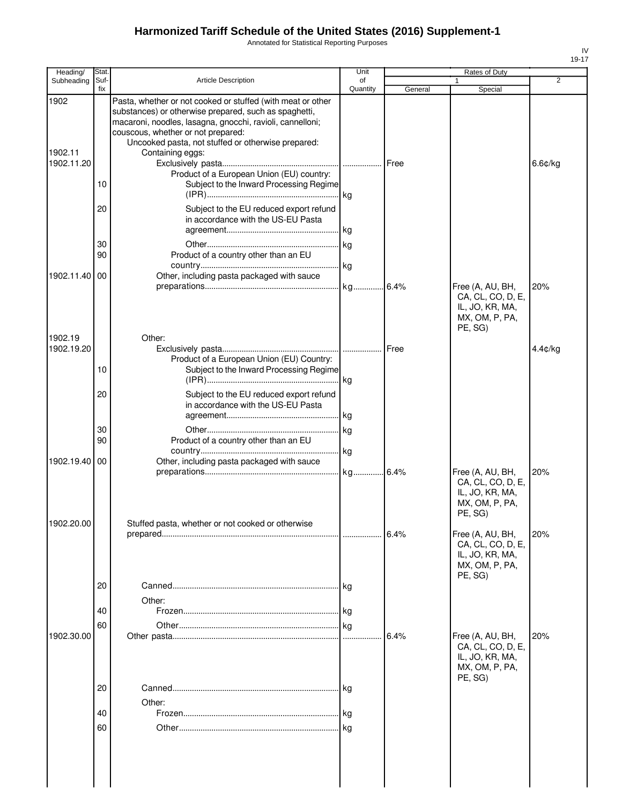Annotated for Statistical Reporting Purposes

| Heading/                      | Stat                 |                                                                                                                                                                                                                                                                                                                                                                                                                                                                                                                     | Unit           |         | Rates of Duty                                                                         |            |
|-------------------------------|----------------------|---------------------------------------------------------------------------------------------------------------------------------------------------------------------------------------------------------------------------------------------------------------------------------------------------------------------------------------------------------------------------------------------------------------------------------------------------------------------------------------------------------------------|----------------|---------|---------------------------------------------------------------------------------------|------------|
| Subheading                    | Suf-<br>fix          | <b>Article Description</b>                                                                                                                                                                                                                                                                                                                                                                                                                                                                                          | of<br>Quantity | General | 1<br>Special                                                                          | 2          |
| 1902<br>1902.11<br>1902.11.20 | 10<br>20<br>30<br>90 | Pasta, whether or not cooked or stuffed (with meat or other<br>substances) or otherwise prepared, such as spaghetti,<br>macaroni, noodles, lasagna, gnocchi, ravioli, cannelloni;<br>couscous, whether or not prepared:<br>Uncooked pasta, not stuffed or otherwise prepared:<br>Containing eggs:<br>Product of a European Union (EU) country:<br>Subject to the Inward Processing Regime<br>Subject to the EU reduced export refund<br>in accordance with the US-EU Pasta<br>Product of a country other than an EU |                |         |                                                                                       | $6.6$ ¢/kg |
| 1902.11.40 00                 |                      | Other, including pasta packaged with sauce                                                                                                                                                                                                                                                                                                                                                                                                                                                                          |                |         | Free (A, AU, BH,<br>CA, CL, CO, D, E,<br>IL, JO, KR, MA,<br>MX, OM, P, PA,<br>PE, SG) | 20%        |
| 1902.19<br>1902.19.20         | 10<br>20<br>30<br>90 | Other:<br>Product of a European Union (EU) Country:<br>Subject to the Inward Processing Regime<br>Subject to the EU reduced export refund<br>in accordance with the US-EU Pasta<br>Product of a country other than an EU                                                                                                                                                                                                                                                                                            |                | Free    |                                                                                       | $4.4$ c/kg |
| 1902.19.40                    | 00                   | Other, including pasta packaged with sauce                                                                                                                                                                                                                                                                                                                                                                                                                                                                          |                |         | Free (A, AU, BH,<br>CA, CL, CO, D, E,<br>IL, JO, KR, MA,<br>MX, OM, P, PA,<br>PE, SG) | 20%        |
| 1902.20.00                    | 20<br>40             | Stuffed pasta, whether or not cooked or otherwise<br>Other:                                                                                                                                                                                                                                                                                                                                                                                                                                                         |                | 6.4%    | Free (A, AU, BH,<br>CA, CL, CO, D, E,<br>IL, JO, KR, MA,<br>MX, OM, P, PA,<br>PE, SG) | 20%        |
| 1902.30.00                    | 60<br>20<br>40<br>60 | Other:                                                                                                                                                                                                                                                                                                                                                                                                                                                                                                              |                | 6.4%    | Free (A, AU, BH,<br>CA, CL, CO, D, E,<br>IL, JO, KR, MA,<br>MX, OM, P, PA,<br>PE, SG) | 20%        |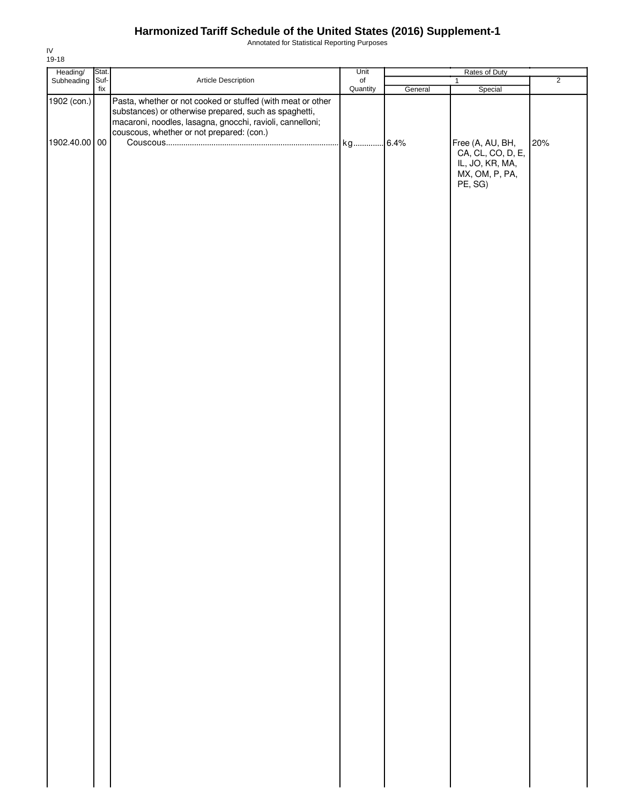Annotated for Statistical Reporting Purposes

| Heading/ Stat.<br>Subheading Suf- |     |                                                                                                                                                                                   | Unit             |         | Rates of Duty                                                                         |                |
|-----------------------------------|-----|-----------------------------------------------------------------------------------------------------------------------------------------------------------------------------------|------------------|---------|---------------------------------------------------------------------------------------|----------------|
|                                   |     | Article Description                                                                                                                                                               | $_{\mathsf{of}}$ |         | $\mathbf{1}$                                                                          | $\overline{2}$ |
| 1902 (con.)                       | fix | Pasta, whether or not cooked or stuffed (with meat or other<br>substances) or otherwise prepared, such as spaghetti,<br>macaroni, noodles, lasagna, gnocchi, ravioli, cannelloni; | Quantity         | General | Special                                                                               |                |
| 1902.40.00 00                     |     | couscous, whether or not prepared: (con.)                                                                                                                                         |                  |         | Free (A, AU, BH,<br>CA, CL, CO, D, E,<br>IL, JO, KR, MA,<br>MX, OM, P, PA,<br>PE, SG) | 20%            |
|                                   |     |                                                                                                                                                                                   |                  |         |                                                                                       |                |
|                                   |     |                                                                                                                                                                                   |                  |         |                                                                                       |                |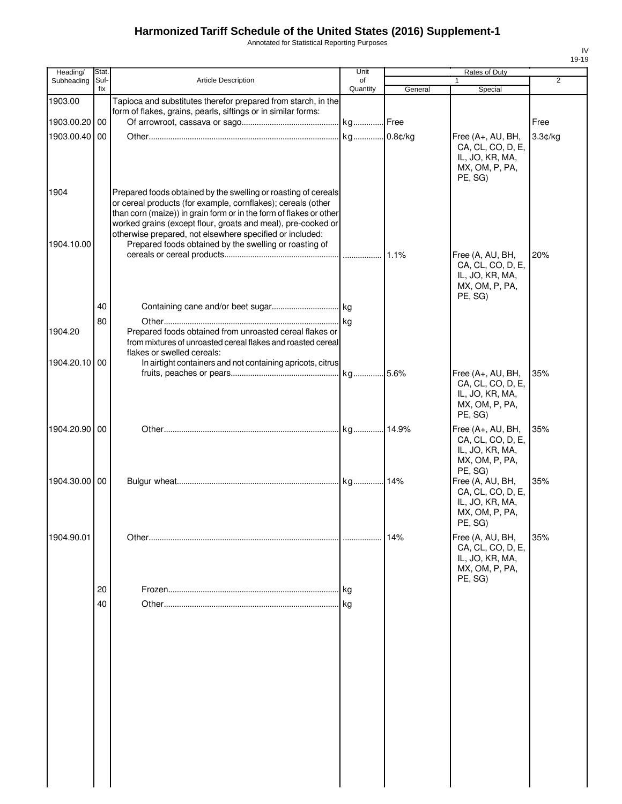Annotated for Statistical Reporting Purposes

| Heading/      | <b>Stat</b> |                                                                                                                                                                                                                                                                                                                                  | Unit           |         | Rates of Duty                                                                          |                |
|---------------|-------------|----------------------------------------------------------------------------------------------------------------------------------------------------------------------------------------------------------------------------------------------------------------------------------------------------------------------------------|----------------|---------|----------------------------------------------------------------------------------------|----------------|
| Subheading    | Suf-<br>fix | <b>Article Description</b>                                                                                                                                                                                                                                                                                                       | of<br>Quantity | General | Special                                                                                | $\overline{2}$ |
| 1903.00       |             | Tapioca and substitutes therefor prepared from starch, in the<br>form of flakes, grains, pearls, siftings or in similar forms:                                                                                                                                                                                                   |                |         |                                                                                        |                |
| 1903.00.20 00 |             |                                                                                                                                                                                                                                                                                                                                  |                |         |                                                                                        | Free           |
| 1903.00.40    | 00          |                                                                                                                                                                                                                                                                                                                                  | kg             | 0.8¢/kg | Free (A+, AU, BH,<br>CA, CL, CO, D, E,<br>IL, JO, KR, MA,<br>MX, OM, P, PA,<br>PE, SG) | 3.3¢/kg        |
| 1904          |             | Prepared foods obtained by the swelling or roasting of cereals<br>or cereal products (for example, cornflakes); cereals (other<br>than corn (maize)) in grain form or in the form of flakes or other<br>worked grains (except flour, groats and meal), pre-cooked or<br>otherwise prepared, not elsewhere specified or included: |                |         |                                                                                        |                |
| 1904.10.00    |             | Prepared foods obtained by the swelling or roasting of                                                                                                                                                                                                                                                                           |                |         | Free (A, AU, BH,<br>CA, CL, CO, D, E,<br>IL, JO, KR, MA,<br>MX, OM, P, PA,<br>PE, SG)  | 20%            |
|               | 40          |                                                                                                                                                                                                                                                                                                                                  |                |         |                                                                                        |                |
| 1904.20       | 80          | Prepared foods obtained from unroasted cereal flakes or<br>from mixtures of unroasted cereal flakes and roasted cereal<br>flakes or swelled cereals:                                                                                                                                                                             |                |         |                                                                                        |                |
| 1904.20.10 00 |             | In airtight containers and not containing apricots, citrus                                                                                                                                                                                                                                                                       |                |         |                                                                                        |                |
|               |             |                                                                                                                                                                                                                                                                                                                                  |                |         | Free (A+, AU, BH,<br>CA, CL, CO, D, E,<br>IL, JO, KR, MA,<br>MX, OM, P, PA,<br>PE, SG) | 35%            |
| 1904.20.90 00 |             |                                                                                                                                                                                                                                                                                                                                  |                |         | Free (A+, AU, BH,<br>CA, CL, CO, D, E,<br>IL, JO, KR, MA,<br>MX, OM, P, PA,<br>PE, SG) | 35%            |
| 1904.30.00 00 |             |                                                                                                                                                                                                                                                                                                                                  |                |         | Free (A, AU, BH,<br>CA, CL, CO, D, E,<br>IL, JO, KR, MA,<br>MX, OM, P, PA,<br>PE, SG)  | 35%            |
| 1904.90.01    |             |                                                                                                                                                                                                                                                                                                                                  |                | 14%     | Free (A, AU, BH,<br>CA, CL, CO, D, E,<br>IL, JO, KR, MA,<br>MX, OM, P, PA,<br>PE, SG)  | 35%            |
|               | 20          |                                                                                                                                                                                                                                                                                                                                  |                |         |                                                                                        |                |
|               | 40          |                                                                                                                                                                                                                                                                                                                                  |                |         |                                                                                        |                |
|               |             |                                                                                                                                                                                                                                                                                                                                  |                |         |                                                                                        |                |
|               |             |                                                                                                                                                                                                                                                                                                                                  |                |         |                                                                                        |                |
|               |             |                                                                                                                                                                                                                                                                                                                                  |                |         |                                                                                        |                |
|               |             |                                                                                                                                                                                                                                                                                                                                  |                |         |                                                                                        |                |
|               |             |                                                                                                                                                                                                                                                                                                                                  |                |         |                                                                                        |                |
|               |             |                                                                                                                                                                                                                                                                                                                                  |                |         |                                                                                        |                |
|               |             |                                                                                                                                                                                                                                                                                                                                  |                |         |                                                                                        |                |
|               |             |                                                                                                                                                                                                                                                                                                                                  |                |         |                                                                                        |                |
|               |             |                                                                                                                                                                                                                                                                                                                                  |                |         |                                                                                        |                |
|               |             |                                                                                                                                                                                                                                                                                                                                  |                |         |                                                                                        |                |
|               |             |                                                                                                                                                                                                                                                                                                                                  |                |         |                                                                                        |                |
|               |             |                                                                                                                                                                                                                                                                                                                                  |                |         |                                                                                        |                |